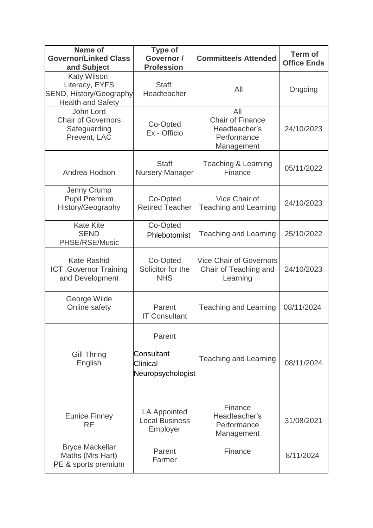| <b>Name of</b><br><b>Governor/Linked Class</b><br>and Subject                         | <b>Type of</b><br>Governor /<br><b>Profession</b>     | <b>Committee/s Attended</b>                                                  | <b>Term of</b><br><b>Office Ends</b> |
|---------------------------------------------------------------------------------------|-------------------------------------------------------|------------------------------------------------------------------------------|--------------------------------------|
| Katy Wilson,<br>Literacy, EYFS<br>SEND, History/Geography<br><b>Health and Safety</b> | <b>Staff</b><br>Headteacher                           | All                                                                          | Ongoing                              |
| John Lord<br><b>Chair of Governors</b><br>Safeguarding<br>Prevent, LAC                | Co-Opted<br>Ex - Officio                              | All<br><b>Chair of Finance</b><br>Headteacher's<br>Performance<br>Management | 24/10/2023                           |
| Andrea Hodson                                                                         | <b>Staff</b><br><b>Nursery Manager</b>                | <b>Teaching &amp; Learning</b><br>Finance                                    | 05/11/2022                           |
| Jenny Crump<br><b>Pupil Premium</b><br>History/Geography                              | Co-Opted<br><b>Retired Teacher</b>                    | Vice Chair of<br><b>Teaching and Learning</b>                                | 24/10/2023                           |
| <b>Kate Kite</b><br><b>SEND</b><br>PHSE/RSE/Music                                     | Co-Opted<br>Phlebotomist                              | <b>Teaching and Learning</b>                                                 | 25/10/2022                           |
| <b>Kate Rashid</b><br><b>ICT, Governor Training</b><br>and Development                | Co-Opted<br>Solicitor for the<br><b>NHS</b>           | <b>Vice Chair of Governors</b><br>Chair of Teaching and<br>Learning          | 24/10/2023                           |
| George Wilde<br>Online safety                                                         | Parent<br><b>IT Consultant</b>                        | <b>Teaching and Learning</b>                                                 | 08/11/2024                           |
| Gill Thring<br>English                                                                | Parent<br>Consultant<br>Clinical<br>Neuropsychologist | <b>Teaching and Learning</b>                                                 | 08/11/2024                           |
| <b>Eunice Finney</b><br><b>RE</b>                                                     | LA Appointed<br><b>Local Business</b><br>Employer     | Finance<br>Headteacher's<br>Performance<br>Management                        | 31/08/2021                           |
| <b>Bryce Mackellar</b><br>Maths (Mrs Hart)<br>PE & sports premium                     | Parent<br>Farmer                                      | Finance                                                                      | 8/11/2024                            |